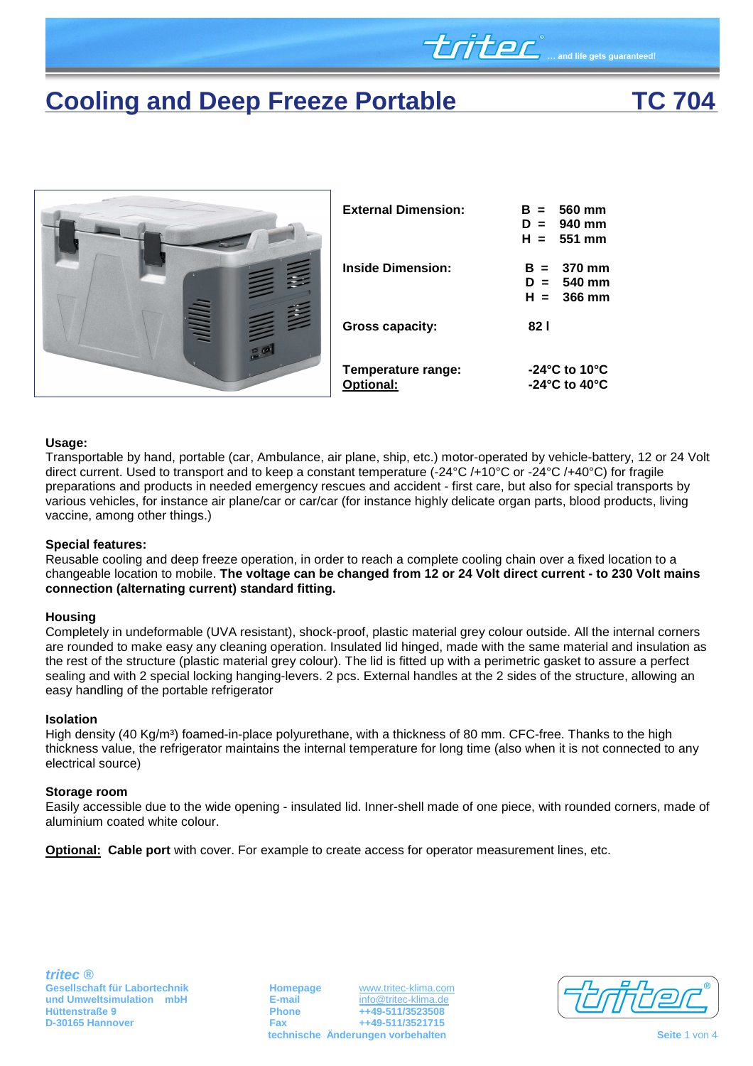# **Cooling and Deep Freeze Portable TC 704**

**LITEL** and life gets guaranteed!



### **Usage:**

Transportable by hand, portable (car, Ambulance, air plane, ship, etc.) motor-operated by vehicle-battery, 12 or 24 Volt direct current. Used to transport and to keep a constant temperature (-24°C /+10°C or -24°C /+40°C) for fragile preparations and products in needed emergency rescues and accident - first care, but also for special transports by various vehicles, for instance air plane/car or car/car (for instance highly delicate organ parts, blood products, living vaccine, among other things.)

### **Special features:**

Reusable cooling and deep freeze operation, in order to reach a complete cooling chain over a fixed location to a changeable location to mobile. **The voltage can be changed from 12 or 24 Volt direct current - to 230 Volt mains connection (alternating current) standard fitting.** 

### **Housing**

Completely in undeformable (UVA resistant), shock-proof, plastic material grey colour outside. All the internal corners are rounded to make easy any cleaning operation. Insulated lid hinged, made with the same material and insulation as the rest of the structure (plastic material grey colour). The lid is fitted up with a perimetric gasket to assure a perfect sealing and with 2 special locking hanging-levers. 2 pcs. External handles at the 2 sides of the structure, allowing an easy handling of the portable refrigerator

### **Isolation**

High density (40 Kg/m<sup>3</sup>) foamed-in-place polyurethane, with a thickness of 80 mm. CFC-free. Thanks to the high thickness value, the refrigerator maintains the internal temperature for long time (also when it is not connected to any electrical source)

#### **Storage room**

Easily accessible due to the wide opening - insulated lid. Inner-shell made of one piece, with rounded corners, made of aluminium coated white colour.

**Optional: Cable port** with cover. For example to create access for operator measurement lines, etc.

**Gesellschaft für Labortechnik and Umweltsimulation mbH**<br> **E-mail E-mail Homepage Welfing the E-mail Homepage E-mail E-mail Home E-mail E-mail E-mail E-mail E-mail E-mail E-mail E-mail E-mai Hüttenstraße 9 Phone ++49-511/3523508 D-30165 Hannover Fax ++49-511/3521715 technische Änderungen vorbehalten Seite 1 von 4 Seite 1 von 4 Seite 1 von 4** 

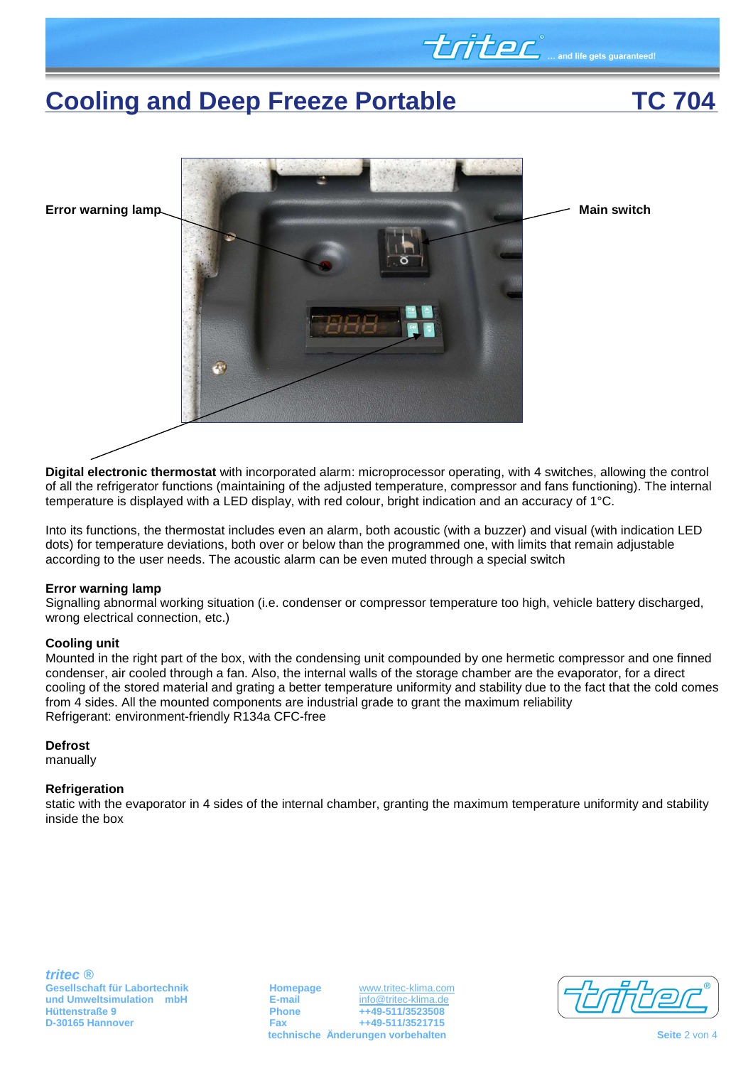# **Cooling and Deep Freeze Portable TC 704**

**UTLEC** ... and life gets guaranteed!



**Digital electronic thermostat** with incorporated alarm: microprocessor operating, with 4 switches, allowing the control of all the refrigerator functions (maintaining of the adjusted temperature, compressor and fans functioning). The internal temperature is displayed with a LED display, with red colour, bright indication and an accuracy of 1°C.

Into its functions, the thermostat includes even an alarm, both acoustic (with a buzzer) and visual (with indication LED dots) for temperature deviations, both over or below than the programmed one, with limits that remain adjustable according to the user needs. The acoustic alarm can be even muted through a special switch

### **Error warning lamp**

Signalling abnormal working situation (i.e. condenser or compressor temperature too high, vehicle battery discharged, wrong electrical connection, etc.)

### **Cooling unit**

Mounted in the right part of the box, with the condensing unit compounded by one hermetic compressor and one finned condenser, air cooled through a fan. Also, the internal walls of the storage chamber are the evaporator, for a direct cooling of the stored material and grating a better temperature uniformity and stability due to the fact that the cold comes from 4 sides. All the mounted components are industrial grade to grant the maximum reliability Refrigerant: environment-friendly R134a CFC-free

### **Defrost**

manually

### **Refrigeration**

static with the evaporator in 4 sides of the internal chamber, granting the maximum temperature uniformity and stability inside the box

**Gesellschaft für Labortechnik and Umweltsimulation mbH Homepage WWW.tritec-klima.com und Umweltsimulation mbH E-mail E-mail E-mail Hüttenstraße 9 Phone ++49-511/3523508 D-30165 Hannover Fax ++49-511/3521715 technische Änderungen vorbehalten Seite 2 von 4 Seite 2 von 4 Seite 2 von 4** 

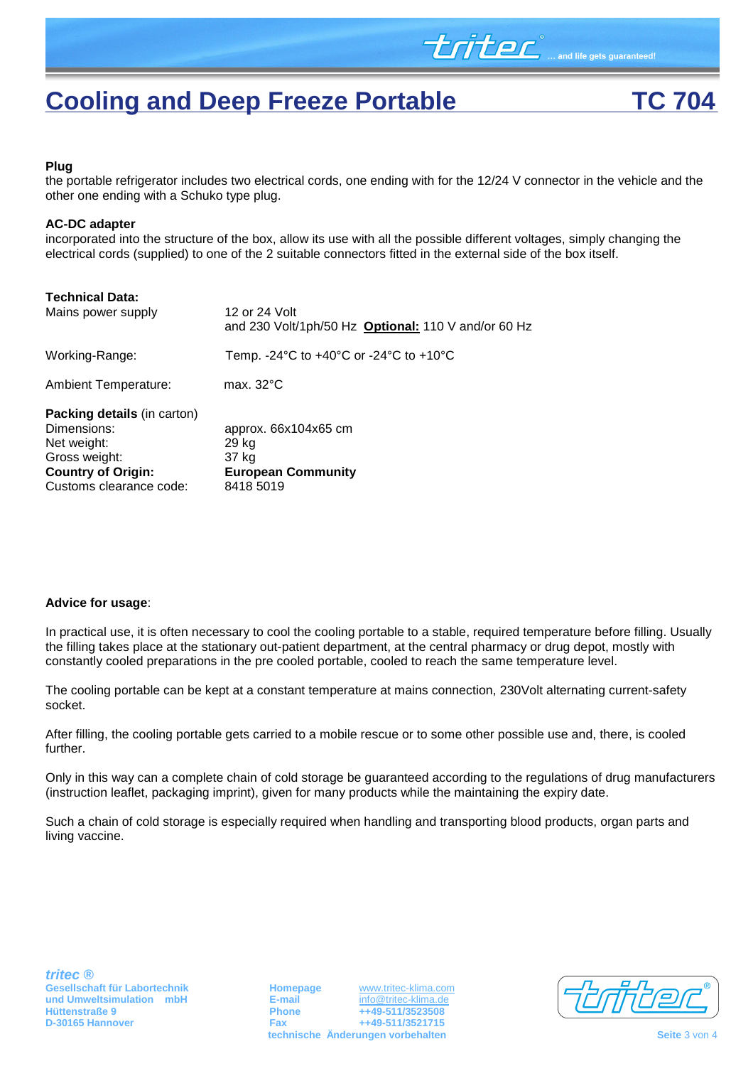

triter

#### **Plug**

the portable refrigerator includes two electrical cords, one ending with for the 12/24 V connector in the vehicle and the other one ending with a Schuko type plug.

#### **AC-DC adapter**

incorporated into the structure of the box, allow its use with all the possible different voltages, simply changing the electrical cords (supplied) to one of the 2 suitable connectors fitted in the external side of the box itself.

| <b>Technical Data:</b><br>Mains power supply                                                                                       | 12 or 24 Volt<br>and 230 Volt/1ph/50 Hz Optional: 110 V and/or 60 Hz                           |
|------------------------------------------------------------------------------------------------------------------------------------|------------------------------------------------------------------------------------------------|
| Working-Range:                                                                                                                     | Temp. -24 $\textdegree$ C to +40 $\textdegree$ C or -24 $\textdegree$ C to +10 $\textdegree$ C |
| <b>Ambient Temperature:</b>                                                                                                        | max. $32^{\circ}$ C                                                                            |
| Packing details (in carton)<br>Dimensions:<br>Net weight:<br>Gross weight:<br><b>Country of Origin:</b><br>Customs clearance code: | approx. 66x104x65 cm<br>29 kg<br>37 kg<br><b>European Community</b><br>8418 5019               |

### **Advice for usage**:

In practical use, it is often necessary to cool the cooling portable to a stable, required temperature before filling. Usually the filling takes place at the stationary out-patient department, at the central pharmacy or drug depot, mostly with constantly cooled preparations in the pre cooled portable, cooled to reach the same temperature level.

The cooling portable can be kept at a constant temperature at mains connection, 230Volt alternating current-safety socket.

After filling, the cooling portable gets carried to a mobile rescue or to some other possible use and, there, is cooled further.

Only in this way can a complete chain of cold storage be guaranteed according to the regulations of drug manufacturers (instruction leaflet, packaging imprint), given for many products while the maintaining the expiry date.

Such a chain of cold storage is especially required when handling and transporting blood products, organ parts and living vaccine.

**Gesellschaft für Labortechnik and Umweltsimulation mbH Homepage WWW.tritec-klima.com E-mail E-mail E-mail E-mail E-mail E-mail E-mail E-mail E-mail E-mail E-mail E-mail E-mail E-mail E-ma Hüttenstraße 9 Phone ++49-511/3523508 D-30165 Hannover Fax ++49-511/3521715 technische Änderungen vorbehalten Seite 3 von 4 Seite 3 von 4 Seite 3 von 4**